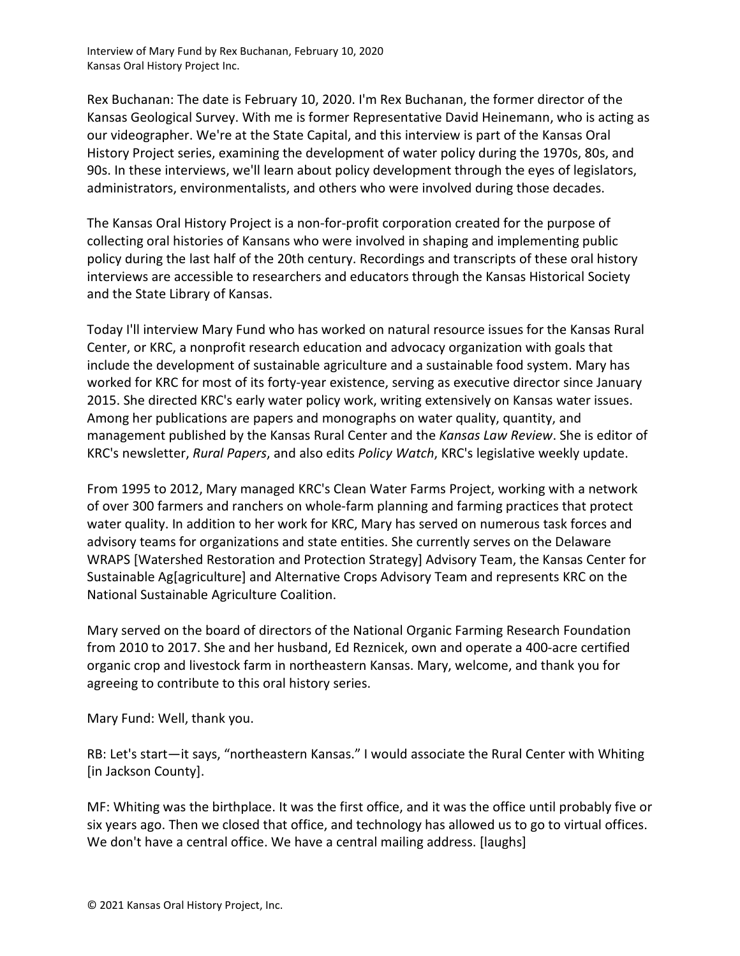Interview of Mary Fund by Rex Buchanan, February 10, 2020 Kansas Oral History Project Inc.

Rex Buchanan: The date is February 10, 2020. I'm Rex Buchanan, the former director of the Kansas Geological Survey. With me is former Representative David Heinemann, who is acting as our videographer. We're at the State Capital, and this interview is part of the Kansas Oral History Project series, examining the development of water policy during the 1970s, 80s, and 90s. In these interviews, we'll learn about policy development through the eyes of legislators, administrators, environmentalists, and others who were involved during those decades.

The Kansas Oral History Project is a non-for-profit corporation created for the purpose of collecting oral histories of Kansans who were involved in shaping and implementing public policy during the last half of the 20th century. Recordings and transcripts of these oral history interviews are accessible to researchers and educators through the Kansas Historical Society and the State Library of Kansas.

Today I'll interview Mary Fund who has worked on natural resource issues for the Kansas Rural Center, or KRC, a nonprofit research education and advocacy organization with goals that include the development of sustainable agriculture and a sustainable food system. Mary has worked for KRC for most of its forty-year existence, serving as executive director since January 2015. She directed KRC's early water policy work, writing extensively on Kansas water issues. Among her publications are papers and monographs on water quality, quantity, and management published by the Kansas Rural Center and the *Kansas Law Review*. She is editor of KRC's newsletter, *Rural Papers*, and also edits *Policy Watch*, KRC's legislative weekly update.

From 1995 to 2012, Mary managed KRC's Clean Water Farms Project, working with a network of over 300 farmers and ranchers on whole-farm planning and farming practices that protect water quality. In addition to her work for KRC, Mary has served on numerous task forces and advisory teams for organizations and state entities. She currently serves on the Delaware WRAPS [Watershed Restoration and Protection Strategy] Advisory Team, the Kansas Center for Sustainable Ag[agriculture] and Alternative Crops Advisory Team and represents KRC on the National Sustainable Agriculture Coalition.

Mary served on the board of directors of the National Organic Farming Research Foundation from 2010 to 2017. She and her husband, Ed Reznicek, own and operate a 400-acre certified organic crop and livestock farm in northeastern Kansas. Mary, welcome, and thank you for agreeing to contribute to this oral history series.

Mary Fund: Well, thank you.

RB: Let's start—it says, "northeastern Kansas." I would associate the Rural Center with Whiting [in Jackson County].

MF: Whiting was the birthplace. It was the first office, and it was the office until probably five or six years ago. Then we closed that office, and technology has allowed us to go to virtual offices. We don't have a central office. We have a central mailing address. [laughs]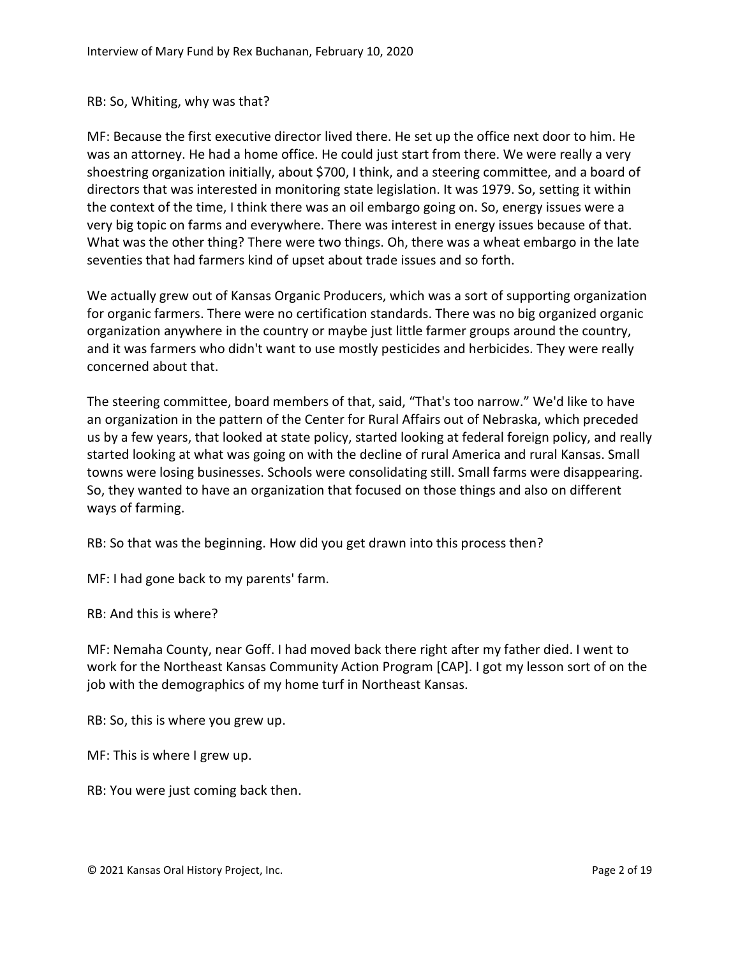## RB: So, Whiting, why was that?

MF: Because the first executive director lived there. He set up the office next door to him. He was an attorney. He had a home office. He could just start from there. We were really a very shoestring organization initially, about \$700, I think, and a steering committee, and a board of directors that was interested in monitoring state legislation. It was 1979. So, setting it within the context of the time, I think there was an oil embargo going on. So, energy issues were a very big topic on farms and everywhere. There was interest in energy issues because of that. What was the other thing? There were two things. Oh, there was a wheat embargo in the late seventies that had farmers kind of upset about trade issues and so forth.

We actually grew out of Kansas Organic Producers, which was a sort of supporting organization for organic farmers. There were no certification standards. There was no big organized organic organization anywhere in the country or maybe just little farmer groups around the country, and it was farmers who didn't want to use mostly pesticides and herbicides. They were really concerned about that.

The steering committee, board members of that, said, "That's too narrow." We'd like to have an organization in the pattern of the Center for Rural Affairs out of Nebraska, which preceded us by a few years, that looked at state policy, started looking at federal foreign policy, and really started looking at what was going on with the decline of rural America and rural Kansas. Small towns were losing businesses. Schools were consolidating still. Small farms were disappearing. So, they wanted to have an organization that focused on those things and also on different ways of farming.

RB: So that was the beginning. How did you get drawn into this process then?

MF: I had gone back to my parents' farm.

RB: And this is where?

MF: Nemaha County, near Goff. I had moved back there right after my father died. I went to work for the Northeast Kansas Community Action Program [CAP]. I got my lesson sort of on the job with the demographics of my home turf in Northeast Kansas.

RB: So, this is where you grew up.

MF: This is where I grew up.

RB: You were just coming back then.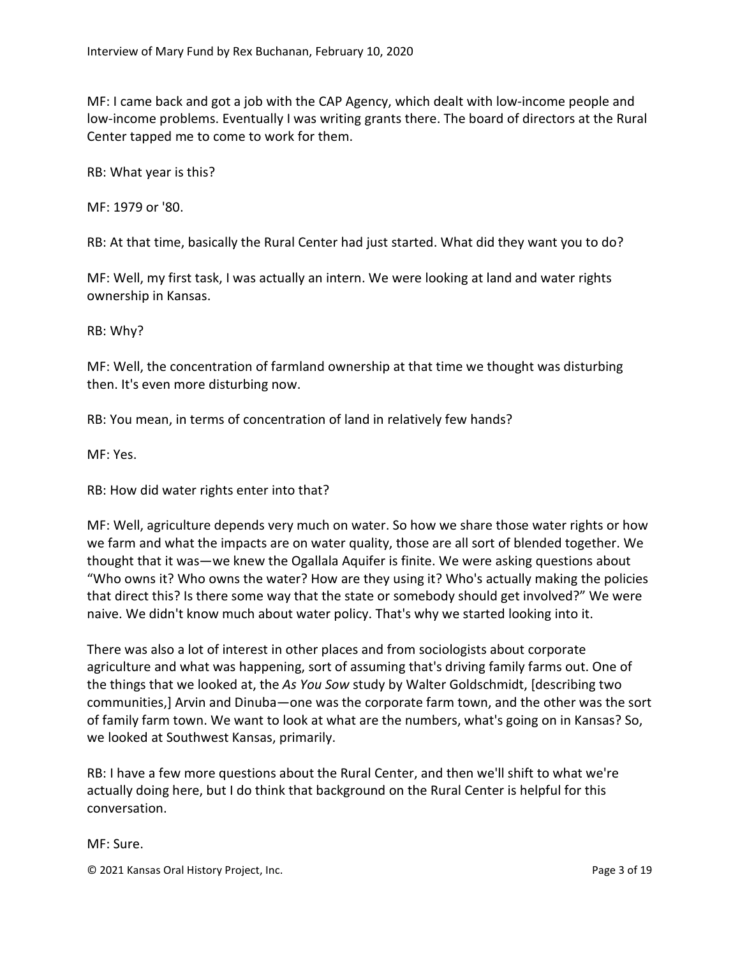MF: I came back and got a job with the CAP Agency, which dealt with low-income people and low-income problems. Eventually I was writing grants there. The board of directors at the Rural Center tapped me to come to work for them.

RB: What year is this?

MF: 1979 or '80.

RB: At that time, basically the Rural Center had just started. What did they want you to do?

MF: Well, my first task, I was actually an intern. We were looking at land and water rights ownership in Kansas.

RB: Why?

MF: Well, the concentration of farmland ownership at that time we thought was disturbing then. It's even more disturbing now.

RB: You mean, in terms of concentration of land in relatively few hands?

MF: Yes.

RB: How did water rights enter into that?

MF: Well, agriculture depends very much on water. So how we share those water rights or how we farm and what the impacts are on water quality, those are all sort of blended together. We thought that it was—we knew the Ogallala Aquifer is finite. We were asking questions about "Who owns it? Who owns the water? How are they using it? Who's actually making the policies that direct this? Is there some way that the state or somebody should get involved?" We were naive. We didn't know much about water policy. That's why we started looking into it.

There was also a lot of interest in other places and from sociologists about corporate agriculture and what was happening, sort of assuming that's driving family farms out. One of the things that we looked at, the *As You Sow* study by Walter Goldschmidt, [describing two communities,] Arvin and Dinuba—one was the corporate farm town, and the other was the sort of family farm town. We want to look at what are the numbers, what's going on in Kansas? So, we looked at Southwest Kansas, primarily.

RB: I have a few more questions about the Rural Center, and then we'll shift to what we're actually doing here, but I do think that background on the Rural Center is helpful for this conversation.

MF: Sure.

© 2021 Kansas Oral History Project, Inc. Page 3 of 19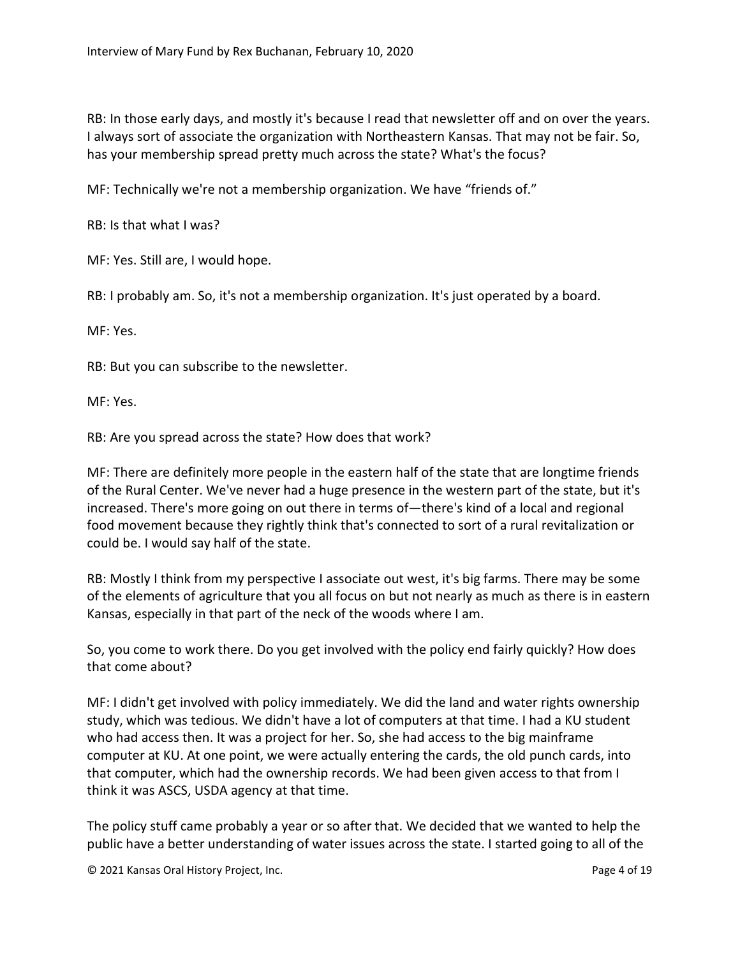RB: In those early days, and mostly it's because I read that newsletter off and on over the years. I always sort of associate the organization with Northeastern Kansas. That may not be fair. So, has your membership spread pretty much across the state? What's the focus?

MF: Technically we're not a membership organization. We have "friends of."

RB: Is that what I was?

MF: Yes. Still are, I would hope.

RB: I probably am. So, it's not a membership organization. It's just operated by a board.

MF: Yes.

RB: But you can subscribe to the newsletter.

MF: Yes.

RB: Are you spread across the state? How does that work?

MF: There are definitely more people in the eastern half of the state that are longtime friends of the Rural Center. We've never had a huge presence in the western part of the state, but it's increased. There's more going on out there in terms of—there's kind of a local and regional food movement because they rightly think that's connected to sort of a rural revitalization or could be. I would say half of the state.

RB: Mostly I think from my perspective I associate out west, it's big farms. There may be some of the elements of agriculture that you all focus on but not nearly as much as there is in eastern Kansas, especially in that part of the neck of the woods where I am.

So, you come to work there. Do you get involved with the policy end fairly quickly? How does that come about?

MF: I didn't get involved with policy immediately. We did the land and water rights ownership study, which was tedious. We didn't have a lot of computers at that time. I had a KU student who had access then. It was a project for her. So, she had access to the big mainframe computer at KU. At one point, we were actually entering the cards, the old punch cards, into that computer, which had the ownership records. We had been given access to that from I think it was ASCS, USDA agency at that time.

The policy stuff came probably a year or so after that. We decided that we wanted to help the public have a better understanding of water issues across the state. I started going to all of the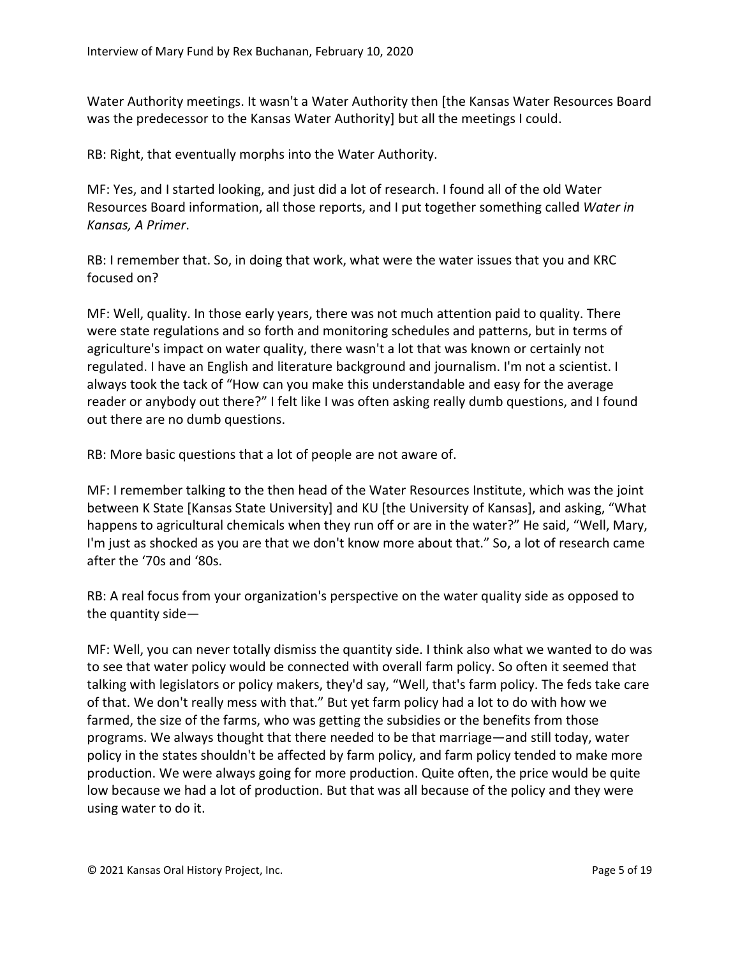Water Authority meetings. It wasn't a Water Authority then [the Kansas Water Resources Board was the predecessor to the Kansas Water Authority] but all the meetings I could.

RB: Right, that eventually morphs into the Water Authority.

MF: Yes, and I started looking, and just did a lot of research. I found all of the old Water Resources Board information, all those reports, and I put together something called *Water in Kansas, A Primer*.

RB: I remember that. So, in doing that work, what were the water issues that you and KRC focused on?

MF: Well, quality. In those early years, there was not much attention paid to quality. There were state regulations and so forth and monitoring schedules and patterns, but in terms of agriculture's impact on water quality, there wasn't a lot that was known or certainly not regulated. I have an English and literature background and journalism. I'm not a scientist. I always took the tack of "How can you make this understandable and easy for the average reader or anybody out there?" I felt like I was often asking really dumb questions, and I found out there are no dumb questions.

RB: More basic questions that a lot of people are not aware of.

MF: I remember talking to the then head of the Water Resources Institute, which was the joint between K State [Kansas State University] and KU [the University of Kansas], and asking, "What happens to agricultural chemicals when they run off or are in the water?" He said, "Well, Mary, I'm just as shocked as you are that we don't know more about that." So, a lot of research came after the '70s and '80s.

RB: A real focus from your organization's perspective on the water quality side as opposed to the quantity side—

MF: Well, you can never totally dismiss the quantity side. I think also what we wanted to do was to see that water policy would be connected with overall farm policy. So often it seemed that talking with legislators or policy makers, they'd say, "Well, that's farm policy. The feds take care of that. We don't really mess with that." But yet farm policy had a lot to do with how we farmed, the size of the farms, who was getting the subsidies or the benefits from those programs. We always thought that there needed to be that marriage—and still today, water policy in the states shouldn't be affected by farm policy, and farm policy tended to make more production. We were always going for more production. Quite often, the price would be quite low because we had a lot of production. But that was all because of the policy and they were using water to do it.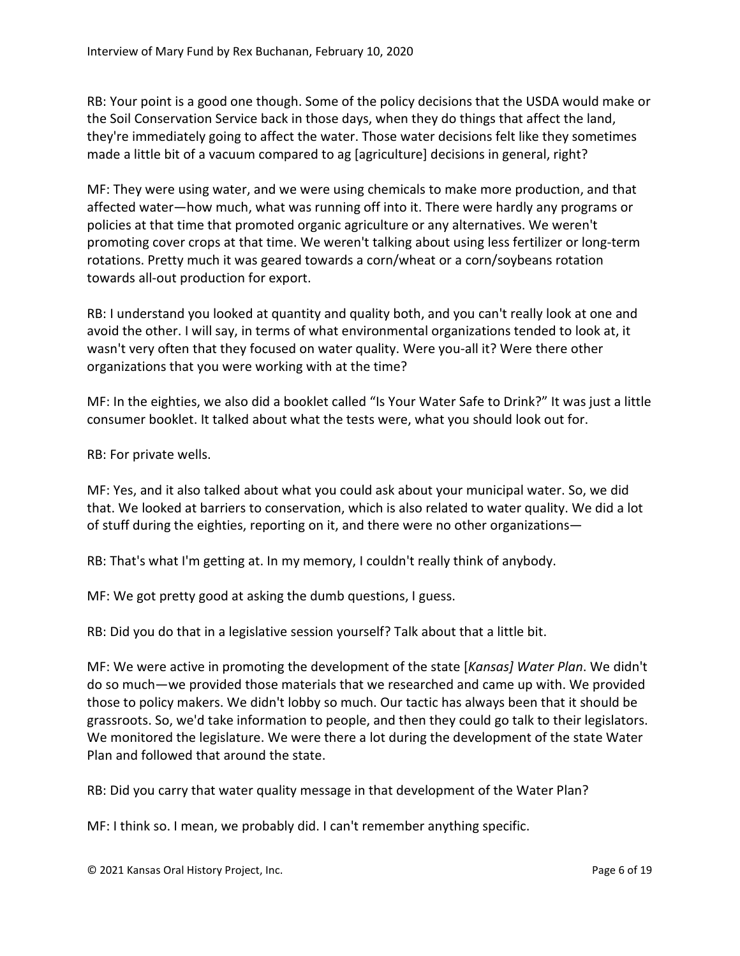RB: Your point is a good one though. Some of the policy decisions that the USDA would make or the Soil Conservation Service back in those days, when they do things that affect the land, they're immediately going to affect the water. Those water decisions felt like they sometimes made a little bit of a vacuum compared to ag [agriculture] decisions in general, right?

MF: They were using water, and we were using chemicals to make more production, and that affected water—how much, what was running off into it. There were hardly any programs or policies at that time that promoted organic agriculture or any alternatives. We weren't promoting cover crops at that time. We weren't talking about using less fertilizer or long-term rotations. Pretty much it was geared towards a corn/wheat or a corn/soybeans rotation towards all-out production for export.

RB: I understand you looked at quantity and quality both, and you can't really look at one and avoid the other. I will say, in terms of what environmental organizations tended to look at, it wasn't very often that they focused on water quality. Were you-all it? Were there other organizations that you were working with at the time?

MF: In the eighties, we also did a booklet called "Is Your Water Safe to Drink?" It was just a little consumer booklet. It talked about what the tests were, what you should look out for.

RB: For private wells.

MF: Yes, and it also talked about what you could ask about your municipal water. So, we did that. We looked at barriers to conservation, which is also related to water quality. We did a lot of stuff during the eighties, reporting on it, and there were no other organizations—

RB: That's what I'm getting at. In my memory, I couldn't really think of anybody.

MF: We got pretty good at asking the dumb questions, I guess.

RB: Did you do that in a legislative session yourself? Talk about that a little bit.

MF: We were active in promoting the development of the state [*Kansas] Water Plan*. We didn't do so much—we provided those materials that we researched and came up with. We provided those to policy makers. We didn't lobby so much. Our tactic has always been that it should be grassroots. So, we'd take information to people, and then they could go talk to their legislators. We monitored the legislature. We were there a lot during the development of the state Water Plan and followed that around the state.

RB: Did you carry that water quality message in that development of the Water Plan?

MF: I think so. I mean, we probably did. I can't remember anything specific.

© 2021 Kansas Oral History Project, Inc. Page 6 of 19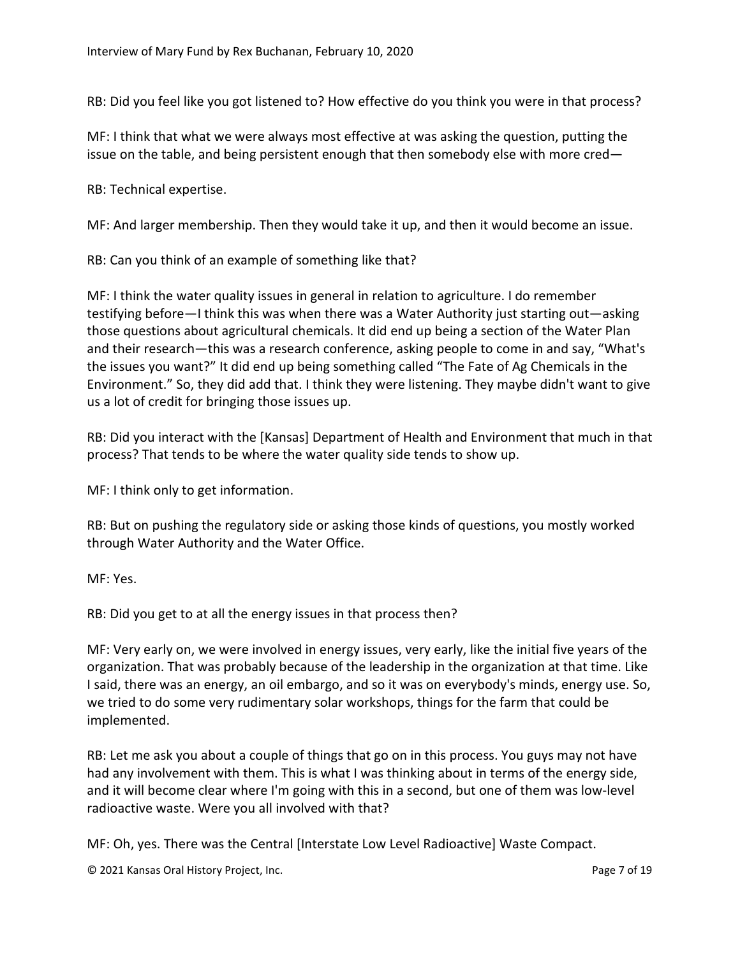RB: Did you feel like you got listened to? How effective do you think you were in that process?

MF: I think that what we were always most effective at was asking the question, putting the issue on the table, and being persistent enough that then somebody else with more cred—

RB: Technical expertise.

MF: And larger membership. Then they would take it up, and then it would become an issue.

RB: Can you think of an example of something like that?

MF: I think the water quality issues in general in relation to agriculture. I do remember testifying before—I think this was when there was a Water Authority just starting out—asking those questions about agricultural chemicals. It did end up being a section of the Water Plan and their research—this was a research conference, asking people to come in and say, "What's the issues you want?" It did end up being something called "The Fate of Ag Chemicals in the Environment." So, they did add that. I think they were listening. They maybe didn't want to give us a lot of credit for bringing those issues up.

RB: Did you interact with the [Kansas] Department of Health and Environment that much in that process? That tends to be where the water quality side tends to show up.

MF: I think only to get information.

RB: But on pushing the regulatory side or asking those kinds of questions, you mostly worked through Water Authority and the Water Office.

MF: Yes.

RB: Did you get to at all the energy issues in that process then?

MF: Very early on, we were involved in energy issues, very early, like the initial five years of the organization. That was probably because of the leadership in the organization at that time. Like I said, there was an energy, an oil embargo, and so it was on everybody's minds, energy use. So, we tried to do some very rudimentary solar workshops, things for the farm that could be implemented.

RB: Let me ask you about a couple of things that go on in this process. You guys may not have had any involvement with them. This is what I was thinking about in terms of the energy side, and it will become clear where I'm going with this in a second, but one of them was low-level radioactive waste. Were you all involved with that?

MF: Oh, yes. There was the Central [Interstate Low Level Radioactive] Waste Compact.

© 2021 Kansas Oral History Project, Inc. Page 7 of 19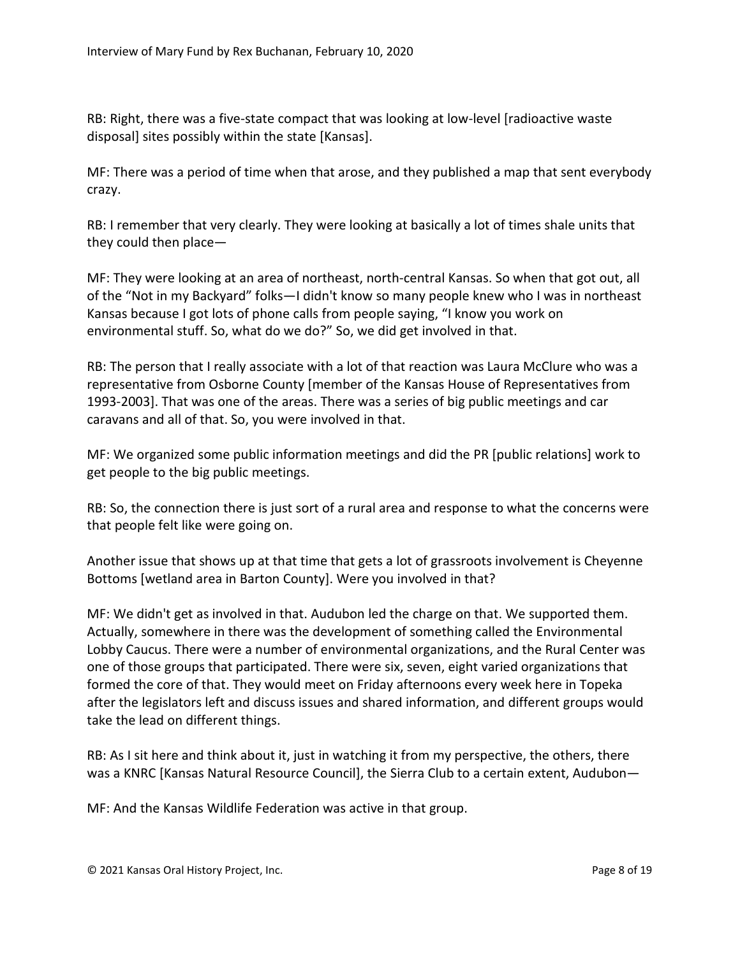RB: Right, there was a five-state compact that was looking at low-level [radioactive waste disposal] sites possibly within the state [Kansas].

MF: There was a period of time when that arose, and they published a map that sent everybody crazy.

RB: I remember that very clearly. They were looking at basically a lot of times shale units that they could then place—

MF: They were looking at an area of northeast, north-central Kansas. So when that got out, all of the "Not in my Backyard" folks—I didn't know so many people knew who I was in northeast Kansas because I got lots of phone calls from people saying, "I know you work on environmental stuff. So, what do we do?" So, we did get involved in that.

RB: The person that I really associate with a lot of that reaction was Laura McClure who was a representative from Osborne County [member of the Kansas House of Representatives from 1993-2003]. That was one of the areas. There was a series of big public meetings and car caravans and all of that. So, you were involved in that.

MF: We organized some public information meetings and did the PR [public relations] work to get people to the big public meetings.

RB: So, the connection there is just sort of a rural area and response to what the concerns were that people felt like were going on.

Another issue that shows up at that time that gets a lot of grassroots involvement is Cheyenne Bottoms [wetland area in Barton County]. Were you involved in that?

MF: We didn't get as involved in that. Audubon led the charge on that. We supported them. Actually, somewhere in there was the development of something called the Environmental Lobby Caucus. There were a number of environmental organizations, and the Rural Center was one of those groups that participated. There were six, seven, eight varied organizations that formed the core of that. They would meet on Friday afternoons every week here in Topeka after the legislators left and discuss issues and shared information, and different groups would take the lead on different things.

RB: As I sit here and think about it, just in watching it from my perspective, the others, there was a KNRC [Kansas Natural Resource Council], the Sierra Club to a certain extent, Audubon—

MF: And the Kansas Wildlife Federation was active in that group.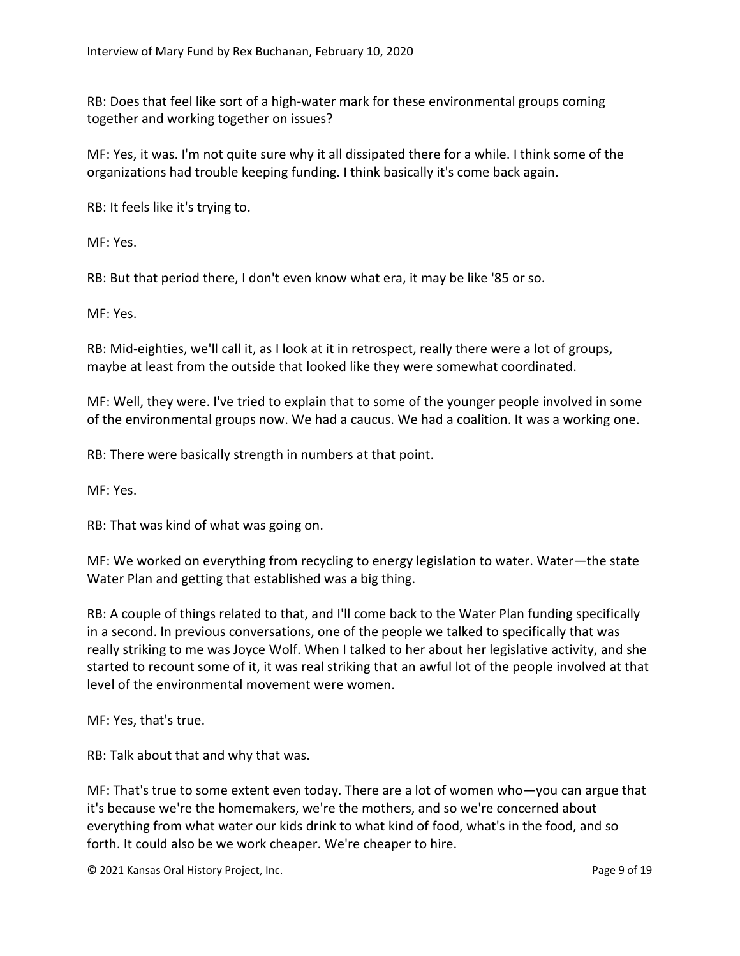RB: Does that feel like sort of a high-water mark for these environmental groups coming together and working together on issues?

MF: Yes, it was. I'm not quite sure why it all dissipated there for a while. I think some of the organizations had trouble keeping funding. I think basically it's come back again.

RB: It feels like it's trying to.

MF: Yes.

RB: But that period there, I don't even know what era, it may be like '85 or so.

MF: Yes.

RB: Mid-eighties, we'll call it, as I look at it in retrospect, really there were a lot of groups, maybe at least from the outside that looked like they were somewhat coordinated.

MF: Well, they were. I've tried to explain that to some of the younger people involved in some of the environmental groups now. We had a caucus. We had a coalition. It was a working one.

RB: There were basically strength in numbers at that point.

MF: Yes.

RB: That was kind of what was going on.

MF: We worked on everything from recycling to energy legislation to water. Water—the state Water Plan and getting that established was a big thing.

RB: A couple of things related to that, and I'll come back to the Water Plan funding specifically in a second. In previous conversations, one of the people we talked to specifically that was really striking to me was Joyce Wolf. When I talked to her about her legislative activity, and she started to recount some of it, it was real striking that an awful lot of the people involved at that level of the environmental movement were women.

MF: Yes, that's true.

RB: Talk about that and why that was.

MF: That's true to some extent even today. There are a lot of women who—you can argue that it's because we're the homemakers, we're the mothers, and so we're concerned about everything from what water our kids drink to what kind of food, what's in the food, and so forth. It could also be we work cheaper. We're cheaper to hire.

© 2021 Kansas Oral History Project, Inc. Page 9 of 19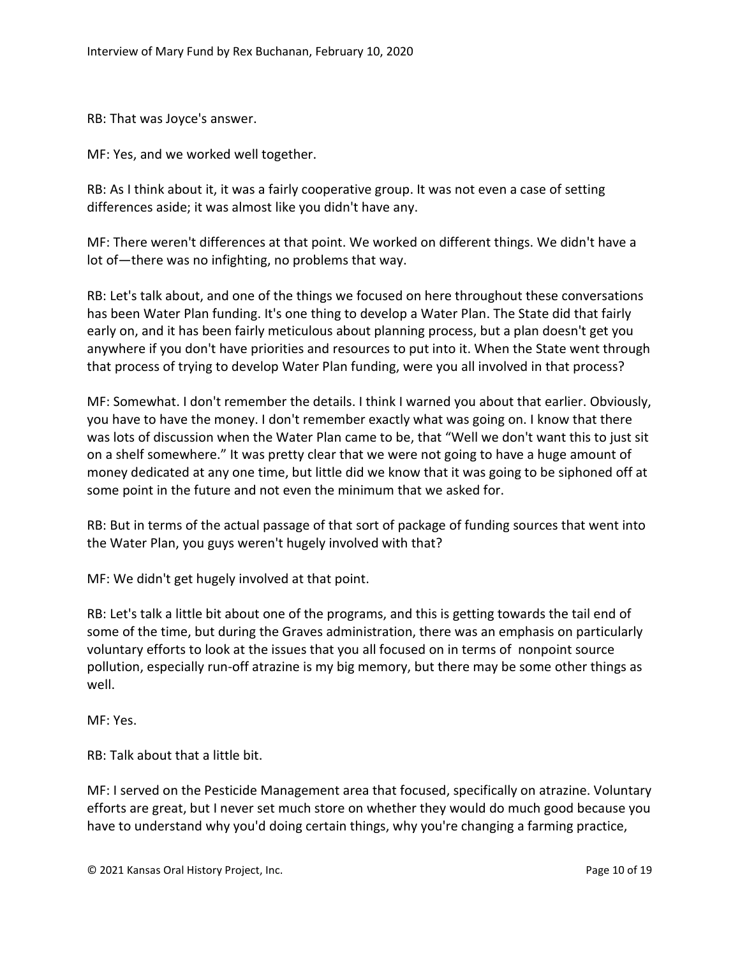RB: That was Joyce's answer.

MF: Yes, and we worked well together.

RB: As I think about it, it was a fairly cooperative group. It was not even a case of setting differences aside; it was almost like you didn't have any.

MF: There weren't differences at that point. We worked on different things. We didn't have a lot of—there was no infighting, no problems that way.

RB: Let's talk about, and one of the things we focused on here throughout these conversations has been Water Plan funding. It's one thing to develop a Water Plan. The State did that fairly early on, and it has been fairly meticulous about planning process, but a plan doesn't get you anywhere if you don't have priorities and resources to put into it. When the State went through that process of trying to develop Water Plan funding, were you all involved in that process?

MF: Somewhat. I don't remember the details. I think I warned you about that earlier. Obviously, you have to have the money. I don't remember exactly what was going on. I know that there was lots of discussion when the Water Plan came to be, that "Well we don't want this to just sit on a shelf somewhere." It was pretty clear that we were not going to have a huge amount of money dedicated at any one time, but little did we know that it was going to be siphoned off at some point in the future and not even the minimum that we asked for.

RB: But in terms of the actual passage of that sort of package of funding sources that went into the Water Plan, you guys weren't hugely involved with that?

MF: We didn't get hugely involved at that point.

RB: Let's talk a little bit about one of the programs, and this is getting towards the tail end of some of the time, but during the Graves administration, there was an emphasis on particularly voluntary efforts to look at the issues that you all focused on in terms of nonpoint source pollution, especially run-off atrazine is my big memory, but there may be some other things as well.

MF: Yes.

RB: Talk about that a little bit.

MF: I served on the Pesticide Management area that focused, specifically on atrazine. Voluntary efforts are great, but I never set much store on whether they would do much good because you have to understand why you'd doing certain things, why you're changing a farming practice,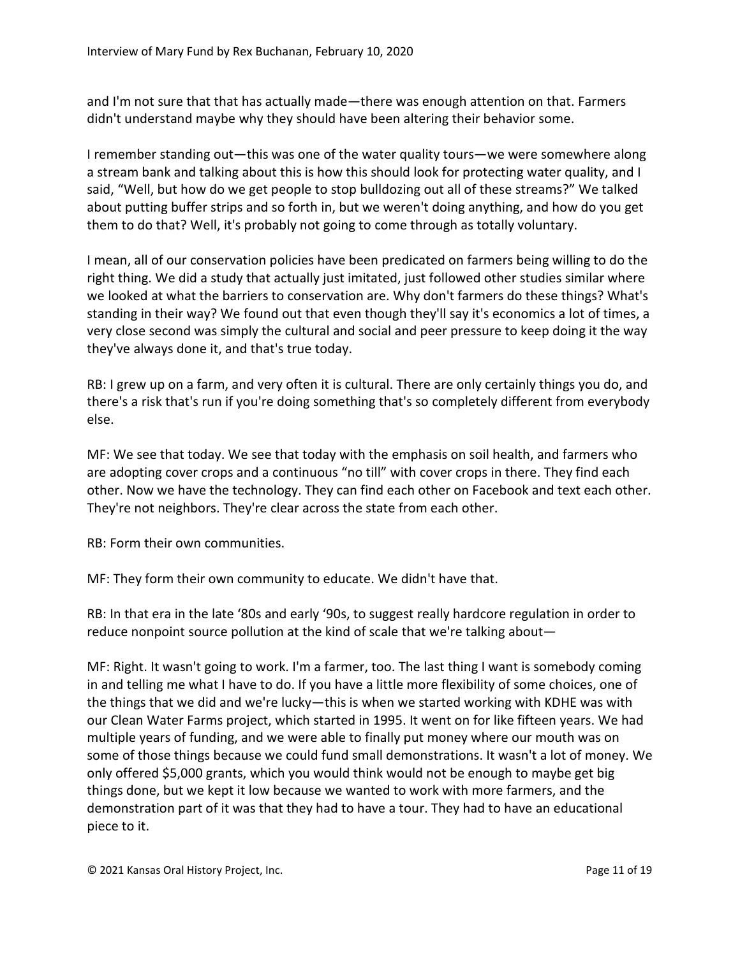and I'm not sure that that has actually made—there was enough attention on that. Farmers didn't understand maybe why they should have been altering their behavior some.

I remember standing out—this was one of the water quality tours—we were somewhere along a stream bank and talking about this is how this should look for protecting water quality, and I said, "Well, but how do we get people to stop bulldozing out all of these streams?" We talked about putting buffer strips and so forth in, but we weren't doing anything, and how do you get them to do that? Well, it's probably not going to come through as totally voluntary.

I mean, all of our conservation policies have been predicated on farmers being willing to do the right thing. We did a study that actually just imitated, just followed other studies similar where we looked at what the barriers to conservation are. Why don't farmers do these things? What's standing in their way? We found out that even though they'll say it's economics a lot of times, a very close second was simply the cultural and social and peer pressure to keep doing it the way they've always done it, and that's true today.

RB: I grew up on a farm, and very often it is cultural. There are only certainly things you do, and there's a risk that's run if you're doing something that's so completely different from everybody else.

MF: We see that today. We see that today with the emphasis on soil health, and farmers who are adopting cover crops and a continuous "no till" with cover crops in there. They find each other. Now we have the technology. They can find each other on Facebook and text each other. They're not neighbors. They're clear across the state from each other.

RB: Form their own communities.

MF: They form their own community to educate. We didn't have that.

RB: In that era in the late '80s and early '90s, to suggest really hardcore regulation in order to reduce nonpoint source pollution at the kind of scale that we're talking about—

MF: Right. It wasn't going to work. I'm a farmer, too. The last thing I want is somebody coming in and telling me what I have to do. If you have a little more flexibility of some choices, one of the things that we did and we're lucky—this is when we started working with KDHE was with our Clean Water Farms project, which started in 1995. It went on for like fifteen years. We had multiple years of funding, and we were able to finally put money where our mouth was on some of those things because we could fund small demonstrations. It wasn't a lot of money. We only offered \$5,000 grants, which you would think would not be enough to maybe get big things done, but we kept it low because we wanted to work with more farmers, and the demonstration part of it was that they had to have a tour. They had to have an educational piece to it.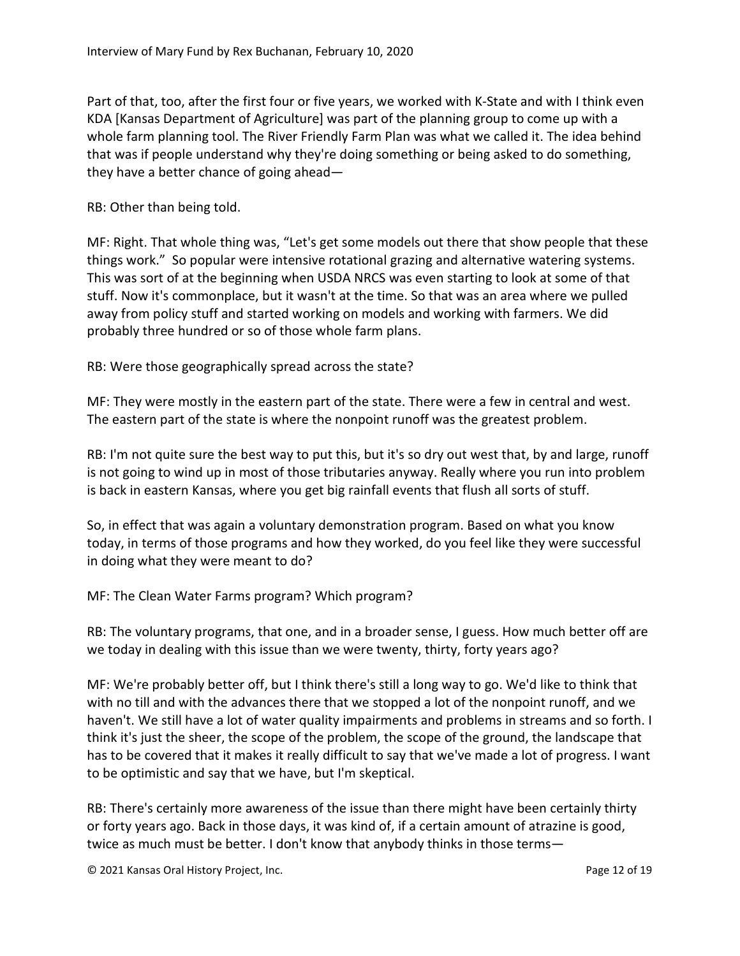Part of that, too, after the first four or five years, we worked with K-State and with I think even KDA [Kansas Department of Agriculture] was part of the planning group to come up with a whole farm planning tool. The River Friendly Farm Plan was what we called it. The idea behind that was if people understand why they're doing something or being asked to do something, they have a better chance of going ahead—

RB: Other than being told.

MF: Right. That whole thing was, "Let's get some models out there that show people that these things work." So popular were intensive rotational grazing and alternative watering systems. This was sort of at the beginning when USDA NRCS was even starting to look at some of that stuff. Now it's commonplace, but it wasn't at the time. So that was an area where we pulled away from policy stuff and started working on models and working with farmers. We did probably three hundred or so of those whole farm plans.

RB: Were those geographically spread across the state?

MF: They were mostly in the eastern part of the state. There were a few in central and west. The eastern part of the state is where the nonpoint runoff was the greatest problem.

RB: I'm not quite sure the best way to put this, but it's so dry out west that, by and large, runoff is not going to wind up in most of those tributaries anyway. Really where you run into problem is back in eastern Kansas, where you get big rainfall events that flush all sorts of stuff.

So, in effect that was again a voluntary demonstration program. Based on what you know today, in terms of those programs and how they worked, do you feel like they were successful in doing what they were meant to do?

MF: The Clean Water Farms program? Which program?

RB: The voluntary programs, that one, and in a broader sense, I guess. How much better off are we today in dealing with this issue than we were twenty, thirty, forty years ago?

MF: We're probably better off, but I think there's still a long way to go. We'd like to think that with no till and with the advances there that we stopped a lot of the nonpoint runoff, and we haven't. We still have a lot of water quality impairments and problems in streams and so forth. I think it's just the sheer, the scope of the problem, the scope of the ground, the landscape that has to be covered that it makes it really difficult to say that we've made a lot of progress. I want to be optimistic and say that we have, but I'm skeptical.

RB: There's certainly more awareness of the issue than there might have been certainly thirty or forty years ago. Back in those days, it was kind of, if a certain amount of atrazine is good, twice as much must be better. I don't know that anybody thinks in those terms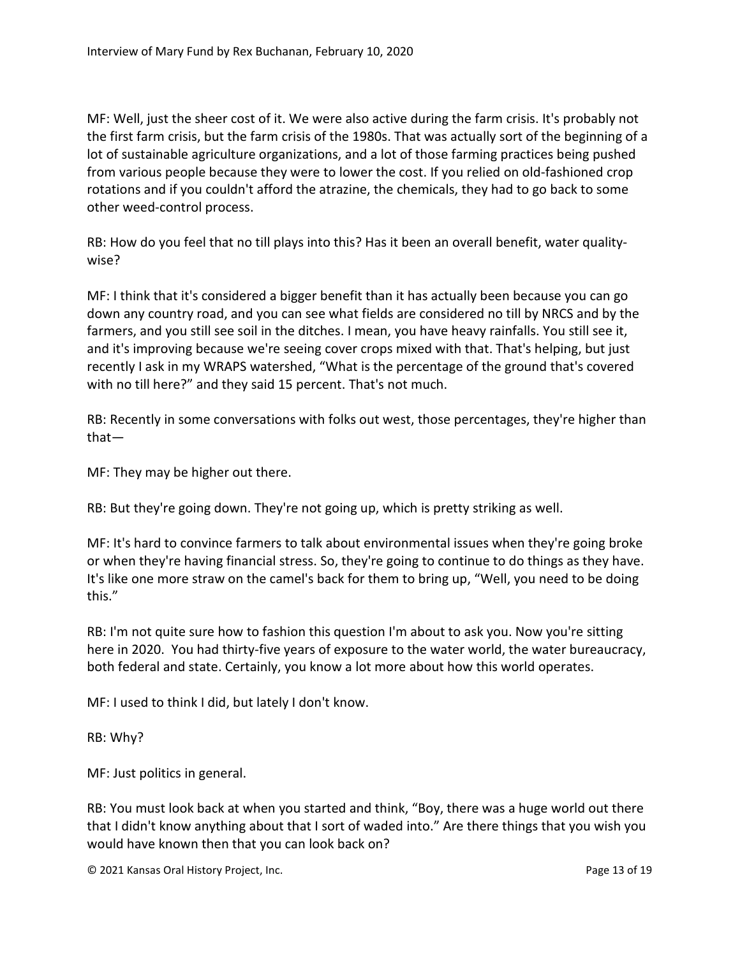MF: Well, just the sheer cost of it. We were also active during the farm crisis. It's probably not the first farm crisis, but the farm crisis of the 1980s. That was actually sort of the beginning of a lot of sustainable agriculture organizations, and a lot of those farming practices being pushed from various people because they were to lower the cost. If you relied on old-fashioned crop rotations and if you couldn't afford the atrazine, the chemicals, they had to go back to some other weed-control process.

RB: How do you feel that no till plays into this? Has it been an overall benefit, water qualitywise?

MF: I think that it's considered a bigger benefit than it has actually been because you can go down any country road, and you can see what fields are considered no till by NRCS and by the farmers, and you still see soil in the ditches. I mean, you have heavy rainfalls. You still see it, and it's improving because we're seeing cover crops mixed with that. That's helping, but just recently I ask in my WRAPS watershed, "What is the percentage of the ground that's covered with no till here?" and they said 15 percent. That's not much.

RB: Recently in some conversations with folks out west, those percentages, they're higher than that—

MF: They may be higher out there.

RB: But they're going down. They're not going up, which is pretty striking as well.

MF: It's hard to convince farmers to talk about environmental issues when they're going broke or when they're having financial stress. So, they're going to continue to do things as they have. It's like one more straw on the camel's back for them to bring up, "Well, you need to be doing this."

RB: I'm not quite sure how to fashion this question I'm about to ask you. Now you're sitting here in 2020. You had thirty-five years of exposure to the water world, the water bureaucracy, both federal and state. Certainly, you know a lot more about how this world operates.

MF: I used to think I did, but lately I don't know.

RB: Why?

MF: Just politics in general.

RB: You must look back at when you started and think, "Boy, there was a huge world out there that I didn't know anything about that I sort of waded into." Are there things that you wish you would have known then that you can look back on?

© 2021 Kansas Oral History Project, Inc. Page 13 of 19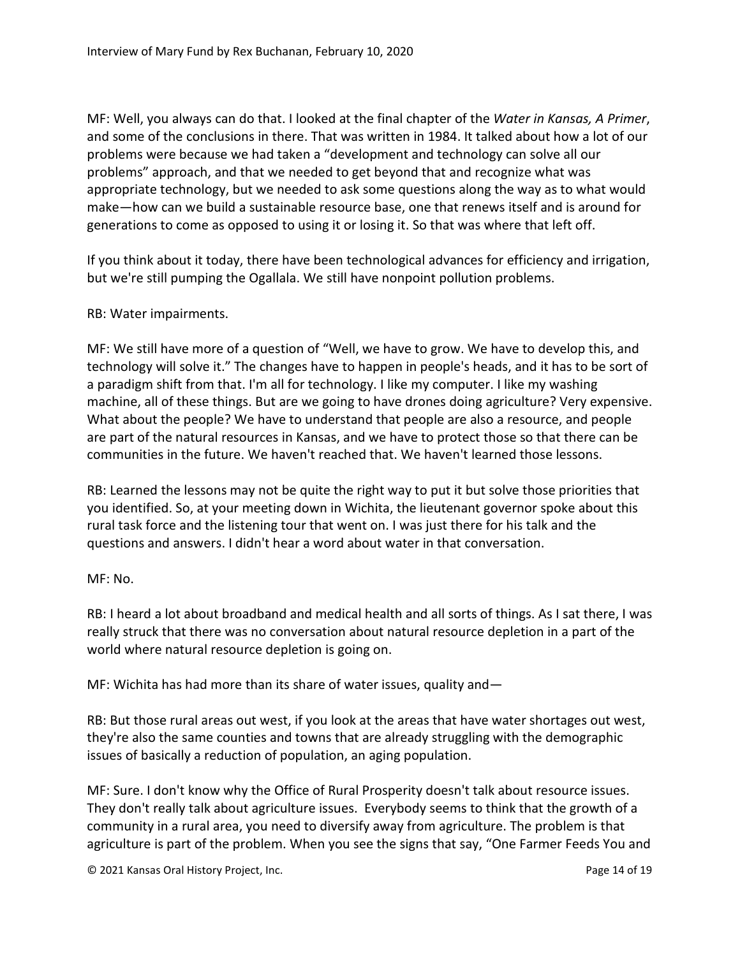MF: Well, you always can do that. I looked at the final chapter of the *Water in Kansas, A Primer*, and some of the conclusions in there. That was written in 1984. It talked about how a lot of our problems were because we had taken a "development and technology can solve all our problems" approach, and that we needed to get beyond that and recognize what was appropriate technology, but we needed to ask some questions along the way as to what would make—how can we build a sustainable resource base, one that renews itself and is around for generations to come as opposed to using it or losing it. So that was where that left off.

If you think about it today, there have been technological advances for efficiency and irrigation, but we're still pumping the Ogallala. We still have nonpoint pollution problems.

## RB: Water impairments.

MF: We still have more of a question of "Well, we have to grow. We have to develop this, and technology will solve it." The changes have to happen in people's heads, and it has to be sort of a paradigm shift from that. I'm all for technology. I like my computer. I like my washing machine, all of these things. But are we going to have drones doing agriculture? Very expensive. What about the people? We have to understand that people are also a resource, and people are part of the natural resources in Kansas, and we have to protect those so that there can be communities in the future. We haven't reached that. We haven't learned those lessons.

RB: Learned the lessons may not be quite the right way to put it but solve those priorities that you identified. So, at your meeting down in Wichita, the lieutenant governor spoke about this rural task force and the listening tour that went on. I was just there for his talk and the questions and answers. I didn't hear a word about water in that conversation.

## MF: No.

RB: I heard a lot about broadband and medical health and all sorts of things. As I sat there, I was really struck that there was no conversation about natural resource depletion in a part of the world where natural resource depletion is going on.

MF: Wichita has had more than its share of water issues, quality and—

RB: But those rural areas out west, if you look at the areas that have water shortages out west, they're also the same counties and towns that are already struggling with the demographic issues of basically a reduction of population, an aging population.

MF: Sure. I don't know why the Office of Rural Prosperity doesn't talk about resource issues. They don't really talk about agriculture issues. Everybody seems to think that the growth of a community in a rural area, you need to diversify away from agriculture. The problem is that agriculture is part of the problem. When you see the signs that say, "One Farmer Feeds You and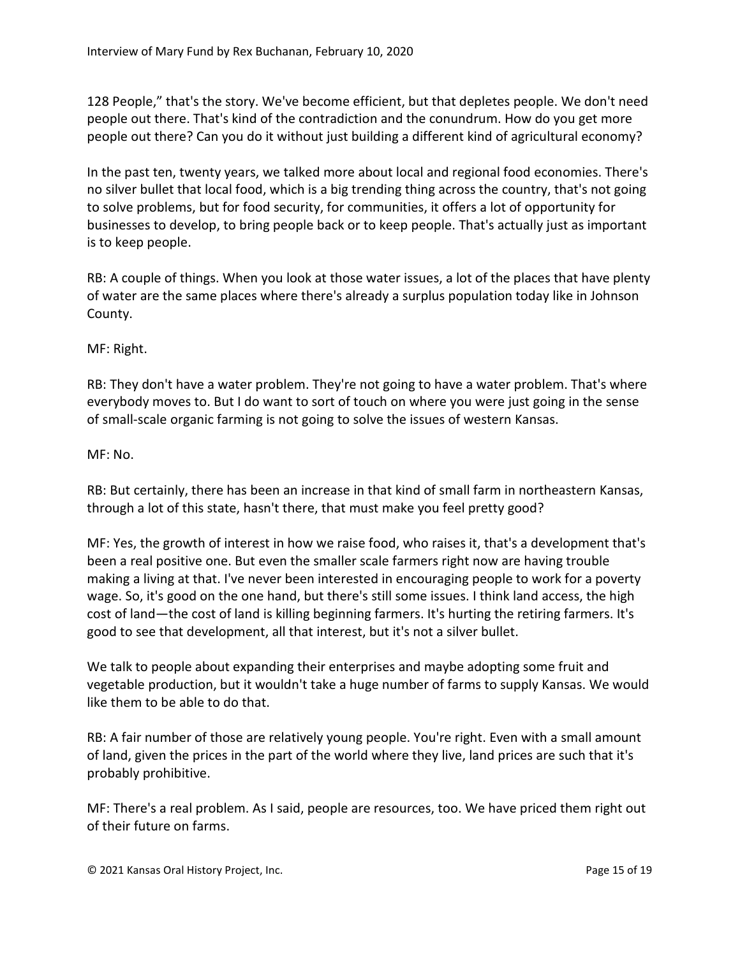128 People," that's the story. We've become efficient, but that depletes people. We don't need people out there. That's kind of the contradiction and the conundrum. How do you get more people out there? Can you do it without just building a different kind of agricultural economy?

In the past ten, twenty years, we talked more about local and regional food economies. There's no silver bullet that local food, which is a big trending thing across the country, that's not going to solve problems, but for food security, for communities, it offers a lot of opportunity for businesses to develop, to bring people back or to keep people. That's actually just as important is to keep people.

RB: A couple of things. When you look at those water issues, a lot of the places that have plenty of water are the same places where there's already a surplus population today like in Johnson County.

MF: Right.

RB: They don't have a water problem. They're not going to have a water problem. That's where everybody moves to. But I do want to sort of touch on where you were just going in the sense of small-scale organic farming is not going to solve the issues of western Kansas.

## MF: No.

RB: But certainly, there has been an increase in that kind of small farm in northeastern Kansas, through a lot of this state, hasn't there, that must make you feel pretty good?

MF: Yes, the growth of interest in how we raise food, who raises it, that's a development that's been a real positive one. But even the smaller scale farmers right now are having trouble making a living at that. I've never been interested in encouraging people to work for a poverty wage. So, it's good on the one hand, but there's still some issues. I think land access, the high cost of land—the cost of land is killing beginning farmers. It's hurting the retiring farmers. It's good to see that development, all that interest, but it's not a silver bullet.

We talk to people about expanding their enterprises and maybe adopting some fruit and vegetable production, but it wouldn't take a huge number of farms to supply Kansas. We would like them to be able to do that.

RB: A fair number of those are relatively young people. You're right. Even with a small amount of land, given the prices in the part of the world where they live, land prices are such that it's probably prohibitive.

MF: There's a real problem. As I said, people are resources, too. We have priced them right out of their future on farms.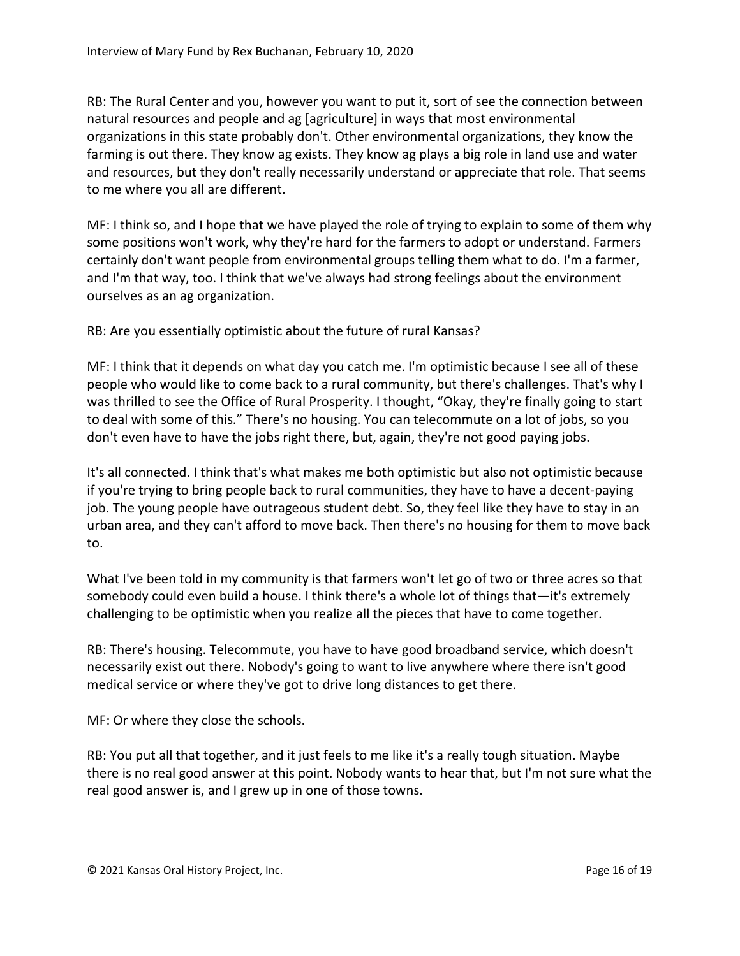RB: The Rural Center and you, however you want to put it, sort of see the connection between natural resources and people and ag [agriculture] in ways that most environmental organizations in this state probably don't. Other environmental organizations, they know the farming is out there. They know ag exists. They know ag plays a big role in land use and water and resources, but they don't really necessarily understand or appreciate that role. That seems to me where you all are different.

MF: I think so, and I hope that we have played the role of trying to explain to some of them why some positions won't work, why they're hard for the farmers to adopt or understand. Farmers certainly don't want people from environmental groups telling them what to do. I'm a farmer, and I'm that way, too. I think that we've always had strong feelings about the environment ourselves as an ag organization.

RB: Are you essentially optimistic about the future of rural Kansas?

MF: I think that it depends on what day you catch me. I'm optimistic because I see all of these people who would like to come back to a rural community, but there's challenges. That's why I was thrilled to see the Office of Rural Prosperity. I thought, "Okay, they're finally going to start to deal with some of this." There's no housing. You can telecommute on a lot of jobs, so you don't even have to have the jobs right there, but, again, they're not good paying jobs.

It's all connected. I think that's what makes me both optimistic but also not optimistic because if you're trying to bring people back to rural communities, they have to have a decent-paying job. The young people have outrageous student debt. So, they feel like they have to stay in an urban area, and they can't afford to move back. Then there's no housing for them to move back to.

What I've been told in my community is that farmers won't let go of two or three acres so that somebody could even build a house. I think there's a whole lot of things that—it's extremely challenging to be optimistic when you realize all the pieces that have to come together.

RB: There's housing. Telecommute, you have to have good broadband service, which doesn't necessarily exist out there. Nobody's going to want to live anywhere where there isn't good medical service or where they've got to drive long distances to get there.

MF: Or where they close the schools.

RB: You put all that together, and it just feels to me like it's a really tough situation. Maybe there is no real good answer at this point. Nobody wants to hear that, but I'm not sure what the real good answer is, and I grew up in one of those towns.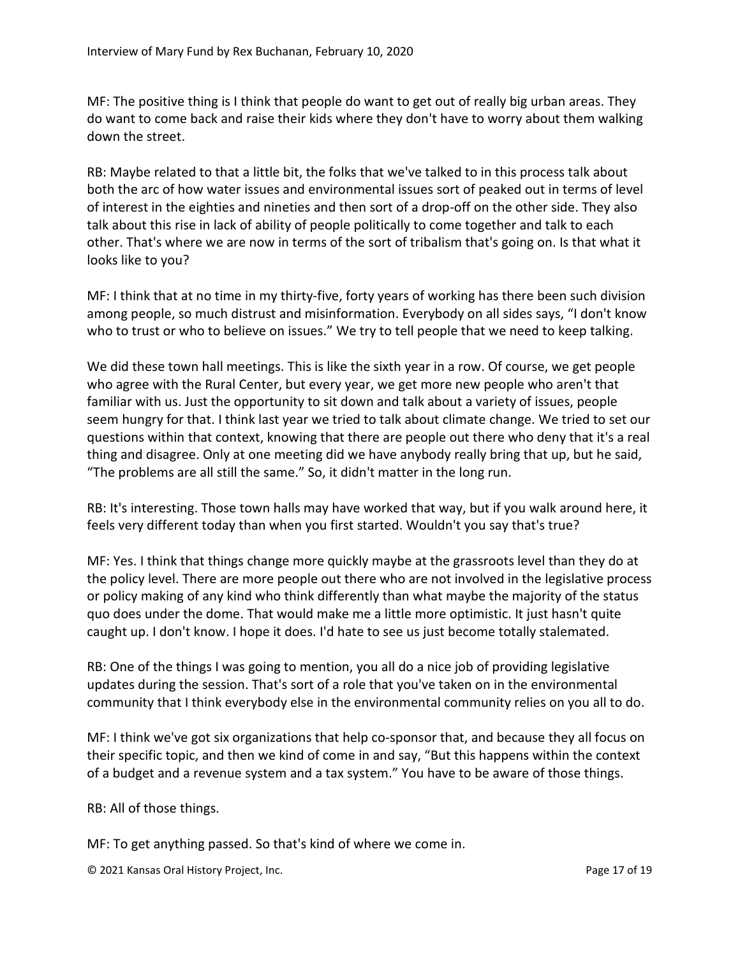MF: The positive thing is I think that people do want to get out of really big urban areas. They do want to come back and raise their kids where they don't have to worry about them walking down the street.

RB: Maybe related to that a little bit, the folks that we've talked to in this process talk about both the arc of how water issues and environmental issues sort of peaked out in terms of level of interest in the eighties and nineties and then sort of a drop-off on the other side. They also talk about this rise in lack of ability of people politically to come together and talk to each other. That's where we are now in terms of the sort of tribalism that's going on. Is that what it looks like to you?

MF: I think that at no time in my thirty-five, forty years of working has there been such division among people, so much distrust and misinformation. Everybody on all sides says, "I don't know who to trust or who to believe on issues." We try to tell people that we need to keep talking.

We did these town hall meetings. This is like the sixth year in a row. Of course, we get people who agree with the Rural Center, but every year, we get more new people who aren't that familiar with us. Just the opportunity to sit down and talk about a variety of issues, people seem hungry for that. I think last year we tried to talk about climate change. We tried to set our questions within that context, knowing that there are people out there who deny that it's a real thing and disagree. Only at one meeting did we have anybody really bring that up, but he said, "The problems are all still the same." So, it didn't matter in the long run.

RB: It's interesting. Those town halls may have worked that way, but if you walk around here, it feels very different today than when you first started. Wouldn't you say that's true?

MF: Yes. I think that things change more quickly maybe at the grassroots level than they do at the policy level. There are more people out there who are not involved in the legislative process or policy making of any kind who think differently than what maybe the majority of the status quo does under the dome. That would make me a little more optimistic. It just hasn't quite caught up. I don't know. I hope it does. I'd hate to see us just become totally stalemated.

RB: One of the things I was going to mention, you all do a nice job of providing legislative updates during the session. That's sort of a role that you've taken on in the environmental community that I think everybody else in the environmental community relies on you all to do.

MF: I think we've got six organizations that help co-sponsor that, and because they all focus on their specific topic, and then we kind of come in and say, "But this happens within the context of a budget and a revenue system and a tax system." You have to be aware of those things.

RB: All of those things.

MF: To get anything passed. So that's kind of where we come in.

© 2021 Kansas Oral History Project, Inc. Page 17 of 19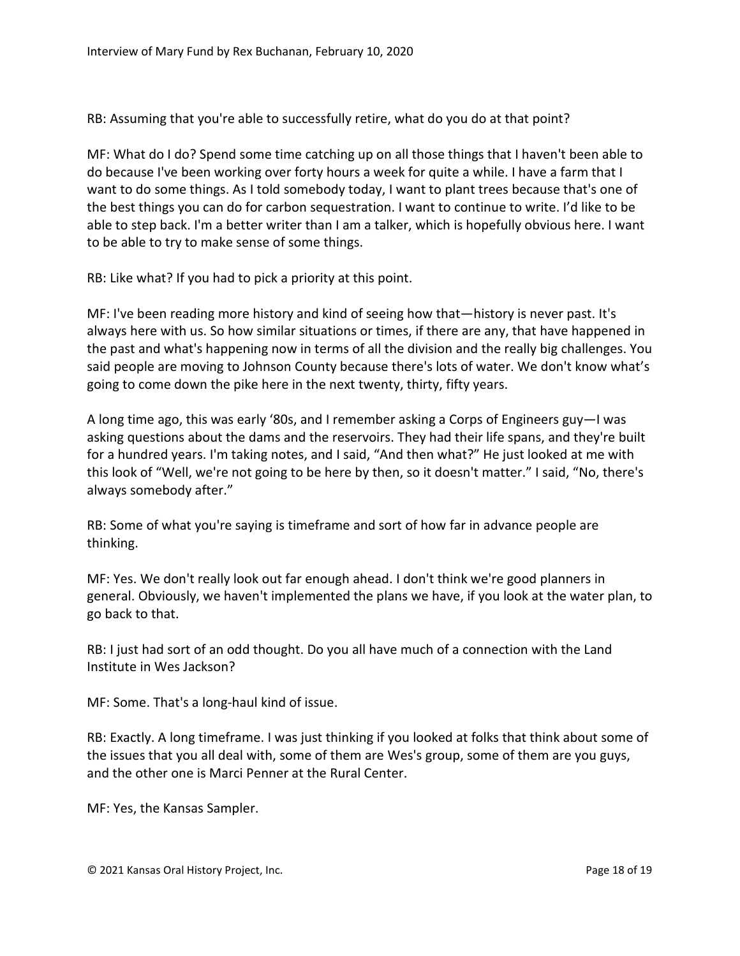RB: Assuming that you're able to successfully retire, what do you do at that point?

MF: What do I do? Spend some time catching up on all those things that I haven't been able to do because I've been working over forty hours a week for quite a while. I have a farm that I want to do some things. As I told somebody today, I want to plant trees because that's one of the best things you can do for carbon sequestration. I want to continue to write. I'd like to be able to step back. I'm a better writer than I am a talker, which is hopefully obvious here. I want to be able to try to make sense of some things.

RB: Like what? If you had to pick a priority at this point.

MF: I've been reading more history and kind of seeing how that—history is never past. It's always here with us. So how similar situations or times, if there are any, that have happened in the past and what's happening now in terms of all the division and the really big challenges. You said people are moving to Johnson County because there's lots of water. We don't know what's going to come down the pike here in the next twenty, thirty, fifty years.

A long time ago, this was early '80s, and I remember asking a Corps of Engineers guy—I was asking questions about the dams and the reservoirs. They had their life spans, and they're built for a hundred years. I'm taking notes, and I said, "And then what?" He just looked at me with this look of "Well, we're not going to be here by then, so it doesn't matter." I said, "No, there's always somebody after."

RB: Some of what you're saying is timeframe and sort of how far in advance people are thinking.

MF: Yes. We don't really look out far enough ahead. I don't think we're good planners in general. Obviously, we haven't implemented the plans we have, if you look at the water plan, to go back to that.

RB: I just had sort of an odd thought. Do you all have much of a connection with the Land Institute in Wes Jackson?

MF: Some. That's a long-haul kind of issue.

RB: Exactly. A long timeframe. I was just thinking if you looked at folks that think about some of the issues that you all deal with, some of them are Wes's group, some of them are you guys, and the other one is Marci Penner at the Rural Center.

MF: Yes, the Kansas Sampler.